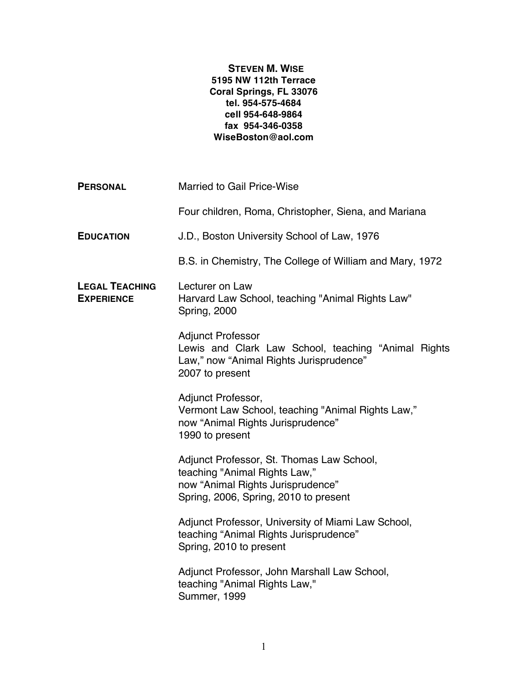## **STEVEN M. WISE 5195 NW 112th Terrace Coral Springs, FL 33076 tel. 954-575-4684 cell 954-648-9864 fax 954-346-0358 WiseBoston@aol.com**

| <b>PERSONAL</b>                            | <b>Married to Gail Price-Wise</b>                                                                                                                        |
|--------------------------------------------|----------------------------------------------------------------------------------------------------------------------------------------------------------|
|                                            | Four children, Roma, Christopher, Siena, and Mariana                                                                                                     |
| <b>EDUCATION</b>                           | J.D., Boston University School of Law, 1976                                                                                                              |
|                                            | B.S. in Chemistry, The College of William and Mary, 1972                                                                                                 |
| <b>LEGAL TEACHING</b><br><b>EXPERIENCE</b> | Lecturer on Law<br>Harvard Law School, teaching "Animal Rights Law"<br>Spring, 2000                                                                      |
|                                            | <b>Adjunct Professor</b><br>Lewis and Clark Law School, teaching "Animal Rights<br>Law," now "Animal Rights Jurisprudence"<br>2007 to present            |
|                                            | Adjunct Professor,<br>Vermont Law School, teaching "Animal Rights Law,"<br>now "Animal Rights Jurisprudence"<br>1990 to present                          |
|                                            | Adjunct Professor, St. Thomas Law School,<br>teaching "Animal Rights Law,"<br>now "Animal Rights Jurisprudence"<br>Spring, 2006, Spring, 2010 to present |
|                                            | Adjunct Professor, University of Miami Law School,<br>teaching "Animal Rights Jurisprudence"<br>Spring, 2010 to present                                  |
|                                            | Adjunct Professor, John Marshall Law School,<br>teaching "Animal Rights Law,"<br><b>Summer, 1999</b>                                                     |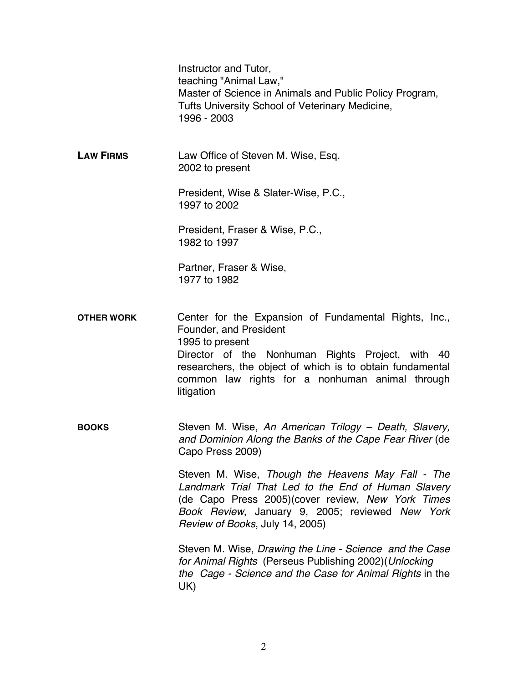|                   | Instructor and Tutor,<br>teaching "Animal Law,"<br>Master of Science in Animals and Public Policy Program,<br>Tufts University School of Veterinary Medicine,<br>1996 - 2003                                                                                                         |
|-------------------|--------------------------------------------------------------------------------------------------------------------------------------------------------------------------------------------------------------------------------------------------------------------------------------|
| <b>LAW FIRMS</b>  | Law Office of Steven M. Wise, Esq.<br>2002 to present                                                                                                                                                                                                                                |
|                   | President, Wise & Slater-Wise, P.C.,<br>1997 to 2002                                                                                                                                                                                                                                 |
|                   | President, Fraser & Wise, P.C.,<br>1982 to 1997                                                                                                                                                                                                                                      |
|                   | Partner, Fraser & Wise,<br>1977 to 1982                                                                                                                                                                                                                                              |
| <b>OTHER WORK</b> | Center for the Expansion of Fundamental Rights, Inc.,<br>Founder, and President<br>1995 to present<br>Director of the Nonhuman Rights Project, with 40<br>researchers, the object of which is to obtain fundamental<br>common law rights for a nonhuman animal through<br>litigation |
| <b>BOOKS</b>      | Steven M. Wise, An American Trilogy - Death, Slavery,<br>and Dominion Along the Banks of the Cape Fear River (de<br>Capo Press 2009)                                                                                                                                                 |
|                   | Steven M. Wise, Though the Heavens May Fall - The<br>Landmark Trial That Led to the End of Human Slavery<br>(de Capo Press 2005) (cover review, New York Times<br>Book Review, January 9, 2005; reviewed New York<br>Review of Books, July 14, 2005)                                 |
|                   | Steven M. Wise, Drawing the Line - Science and the Case<br>for Animal Rights (Perseus Publishing 2002)(Unlocking<br>the Cage - Science and the Case for Animal Rights in the<br>UK)                                                                                                  |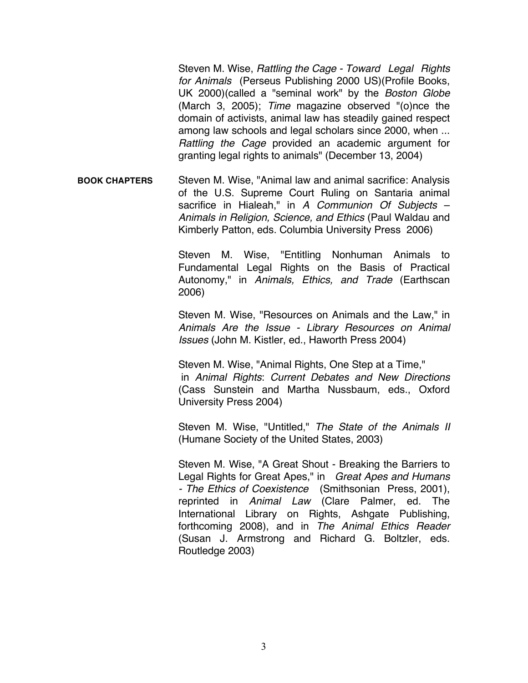Steven M. Wise, *Rattling the Cage - Toward Legal Rights for Animals* (Perseus Publishing 2000 US)(Profile Books, UK 2000)(called a "seminal work" by the *Boston Globe* (March 3, 2005); *Time* magazine observed "(o)nce the domain of activists, animal law has steadily gained respect among law schools and legal scholars since 2000, when ... *Rattling the Cage* provided an academic argument for granting legal rights to animals" (December 13, 2004)

**BOOK CHAPTERS** Steven M. Wise, "Animal law and animal sacrifice: Analysis of the U.S. Supreme Court Ruling on Santaria animal sacrifice in Hialeah," in *A Communion Of Subjects* – *Animals in Religion, Science, and Ethics* (Paul Waldau and Kimberly Patton, eds. Columbia University Press 2006)

> Steven M. Wise, "Entitling Nonhuman Animals to Fundamental Legal Rights on the Basis of Practical Autonomy," in *Animals, Ethics, and Trade* (Earthscan 2006)

> Steven M. Wise, "Resources on Animals and the Law," in *Animals Are the Issue - Library Resources on Animal Issues* (John M. Kistler, ed., Haworth Press 2004)

> Steven M. Wise, "Animal Rights, One Step at a Time," in *Animal Rights*: *Current Debates and New Directions*  (Cass Sunstein and Martha Nussbaum, eds., Oxford University Press 2004)

> Steven M. Wise, "Untitled," *The State of the Animals II*  (Humane Society of the United States, 2003)

> Steven M. Wise, "A Great Shout - Breaking the Barriers to Legal Rights for Great Apes," in *Great Apes and Humans - The Ethics of Coexistence* (Smithsonian Press, 2001), reprinted in *Animal Law* (Clare Palmer, ed. The International Library on Rights, Ashgate Publishing, forthcoming 2008), and in *The Animal Ethics Reader* (Susan J. Armstrong and Richard G. Boltzler, eds. Routledge 2003)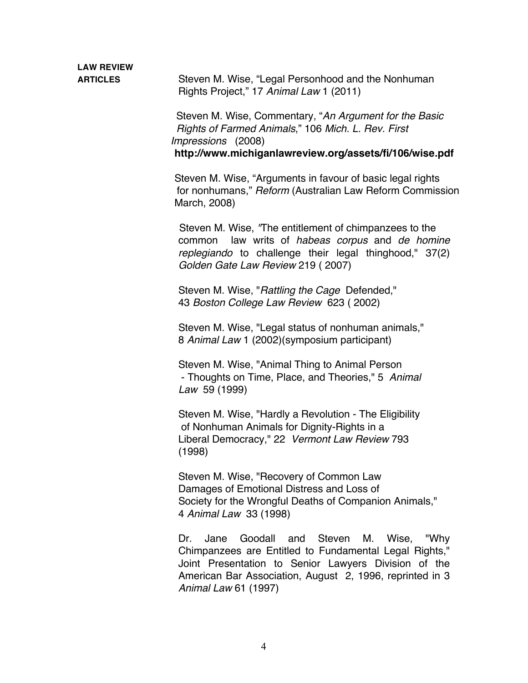**ARTICLES** Steven M. Wise, "Legal Personhood and the Nonhuman Rights Project," 17 *Animal Law* 1 (2011)

> Steven M. Wise, Commentary, "*An Argument for the Basic Rights of Farmed Animals*," 106 *Mich. L. Rev. First Impressions* (2008) **http://www.michiganlawreview.org/assets/fi/106/wise.pdf**

Steven M. Wise, "Arguments in favour of basic legal rights for nonhumans," *Reform* (Australian Law Reform Commission March, 2008)

 Steven M. Wise, *"*The entitlement of chimpanzees to the common law writs of *habeas corpus* and *de homine replegiando* to challenge their legal thinghood," 37(2) *Golden Gate Law Review* 219 ( 2007)

Steven M. Wise, "*Rattling the Cage* Defended," 43 *Boston College Law Review* 623 ( 2002)

Steven M. Wise, "Legal status of nonhuman animals," 8 *Animal Law* 1 (2002)(symposium participant)

Steven M. Wise, "Animal Thing to Animal Person - Thoughts on Time, Place, and Theories," 5 *Animal Law* 59 (1999)

Steven M. Wise, "Hardly a Revolution - The Eligibility of Nonhuman Animals for Dignity-Rights in a Liberal Democracy," 22 *Vermont Law Review* 793 (1998)

Steven M. Wise, "Recovery of Common Law Damages of Emotional Distress and Loss of Society for the Wrongful Deaths of Companion Animals," 4 *Animal Law* 33 (1998)

Dr. Jane Goodall and Steven M. Wise, "Why Chimpanzees are Entitled to Fundamental Legal Rights," Joint Presentation to Senior Lawyers Division of the American Bar Association, August 2, 1996, reprinted in 3 *Animal Law* 61 (1997)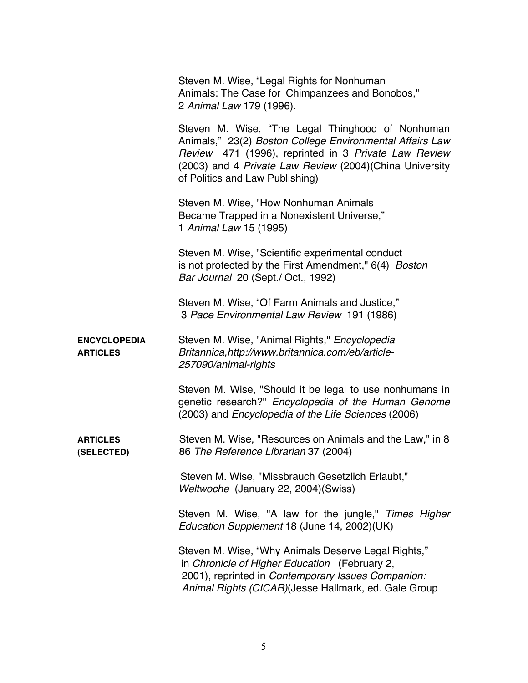Steven M. Wise, "Legal Rights for Nonhuman Animals: The Case for Chimpanzees and Bonobos," 2 *Animal Law* 179 (1996).

Steven M. Wise, "The Legal Thinghood of Nonhuman Animals," 23(2) *Boston College Environmental Affairs Law Review* 471 (1996), reprinted in 3 *Private Law Review*  (2003) and 4 *Private Law Review* (2004)(China University of Politics and Law Publishing)

Steven M. Wise, "How Nonhuman Animals Became Trapped in a Nonexistent Universe," 1 *Animal Law* 15 (1995)

Steven M. Wise, "Scientific experimental conduct is not protected by the First Amendment," 6(4) *Boston Bar Journal* 20 (Sept./ Oct., 1992)

Steven M. Wise, "Of Farm Animals and Justice," 3 *Pace Environmental Law Review* 191 (1986)

**ENCYCLOPEDIA** Steven M. Wise, "Animal Rights," *Encyclopedia* **ARTICLES** *Britannica,http://www.britannica.com/eb/article-257090/animal-rights*

> Steven M. Wise, "Should it be legal to use nonhumans in genetic research?" *Encyclopedia of the Human Genome*  (2003) and *Encyclopedia of the Life Sciences* (2006)

**ARTICLES** Steven M. Wise, "Resources on Animals and the Law," in 8 **(SELECTED)** 86 *The Reference Librarian* 37 (2004)

> Steven M. Wise, "Missbrauch Gesetzlich Erlaubt," *Weltwoche* (January 22, 2004)(Swiss)

Steven M. Wise, "A law for the jungle," *Times Higher Education Supplement* 18 (June 14, 2002)(UK)

Steven M. Wise, "Why Animals Deserve Legal Rights," in *Chronicle of Higher Education* (February 2, 2001), reprinted in *Contemporary Issues Companion: Animal Rights (CICAR)*(Jesse Hallmark, ed. Gale Group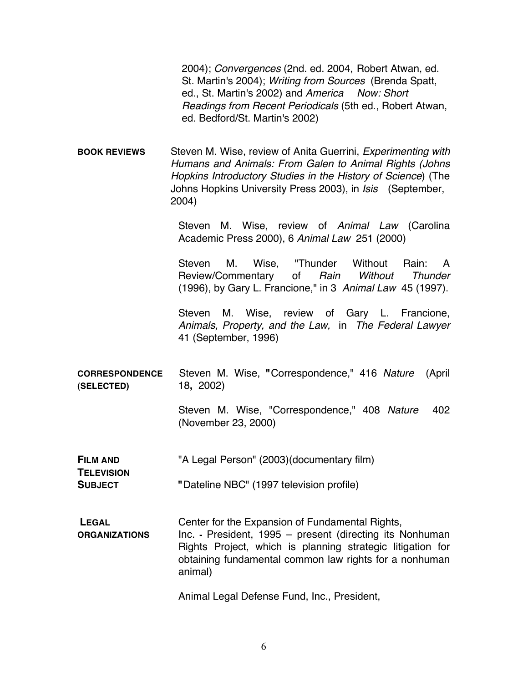2004); *Convergences* (2nd. ed. 2004, Robert Atwan, ed. St. Martin's 2004); *Writing from Sources* (Brenda Spatt, ed., St. Martin's 2002) and *America Now: Short Readings from Recent Periodicals* (5th ed., Robert Atwan, ed. Bedford/St. Martin's 2002)

**BOOK REVIEWS** Steven M. Wise, review of Anita Guerrini, *Experimenting with Humans and Animals: From Galen to Animal Rights (Johns Hopkins Introductory Studies in the History of Science*) (The Johns Hopkins University Press 2003), in *Isis* (September, 2004)

> Steven M. Wise, review of *Animal Law* (Carolina Academic Press 2000), 6 *Animal Law* 251 (2000)

> Steven M. Wise, "Thunder Without Rain: A Review/Commentary of *Rain Without Thunder*  (1996), by Gary L. Francione," in 3 *Animal Law* 45 (1997).

> Steven M. Wise, review of Gary L. Francione, *Animals, Property, and the Law,* in *The Federal Lawyer* 41 (September, 1996)

**CORRESPONDENCE** Steven M. Wise, **"**Correspondence," 416 *Nature* (April **(SELECTED)** 18**,** 2002)

> Steven M. Wise, "Correspondence," 408 *Nature* 402 (November 23, 2000)

- **FILM AND** "A Legal Person" (2003)(documentary film)
- **SUBJECT "**Dateline NBC" (1997 television profile)

**TELEVISION**

**LEGAL** Center for the Expansion of Fundamental Rights, **ORGANIZATIONS** Inc. **-** President, 1995 – present (directing its Nonhuman Rights Project, which is planning strategic litigation for obtaining fundamental common law rights for a nonhuman animal)

Animal Legal Defense Fund, Inc., President,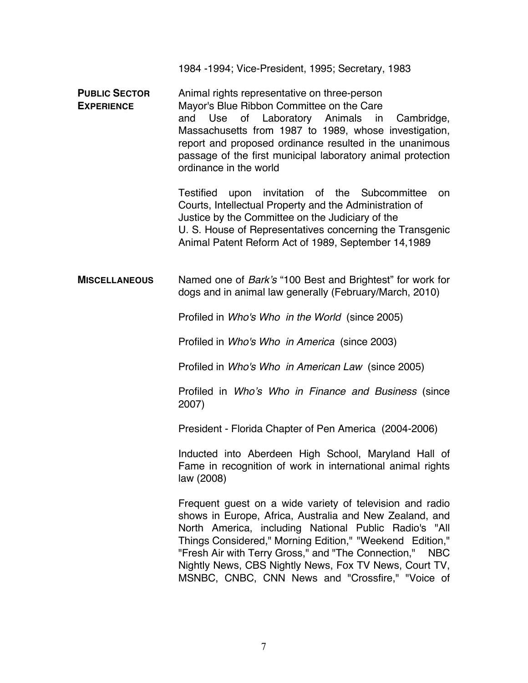1984 -1994; Vice-President, 1995; Secretary, 1983

**PUBLIC SECTOR** Animal rights representative on three-person **EXPERIENCE** Mayor's Blue Ribbon Committee on the Care and Use of Laboratory Animals in Cambridge, Massachusetts from 1987 to 1989, whose investigation, report and proposed ordinance resulted in the unanimous passage of the first municipal laboratory animal protection ordinance in the world

> Testified upon invitation of the Subcommittee on Courts, Intellectual Property and the Administration of Justice by the Committee on the Judiciary of the U. S. House of Representatives concerning the Transgenic Animal Patent Reform Act of 1989, September 14,1989

**MISCELLANEOUS** Named one of *Bark*'*s* "100 Best and Brightest" for work for dogs and in animal law generally (February/March, 2010)

Profiled in *Who's Who in the World* (since 2005)

Profiled in *Who's Who in America* (since 2003)

Profiled in *Who's Who in American Law* (since 2005)

Profiled in *Who*'*s Who in Finance and Business* (since 2007)

President - Florida Chapter of Pen America (2004-2006)

Inducted into Aberdeen High School, Maryland Hall of Fame in recognition of work in international animal rights law (2008)

Frequent guest on a wide variety of television and radio shows in Europe, Africa, Australia and New Zealand, and North America, including National Public Radio's "All Things Considered," Morning Edition," "Weekend Edition," "Fresh Air with Terry Gross," and "The Connection," NBC Nightly News, CBS Nightly News, Fox TV News, Court TV, MSNBC, CNBC, CNN News and "Crossfire," "Voice of